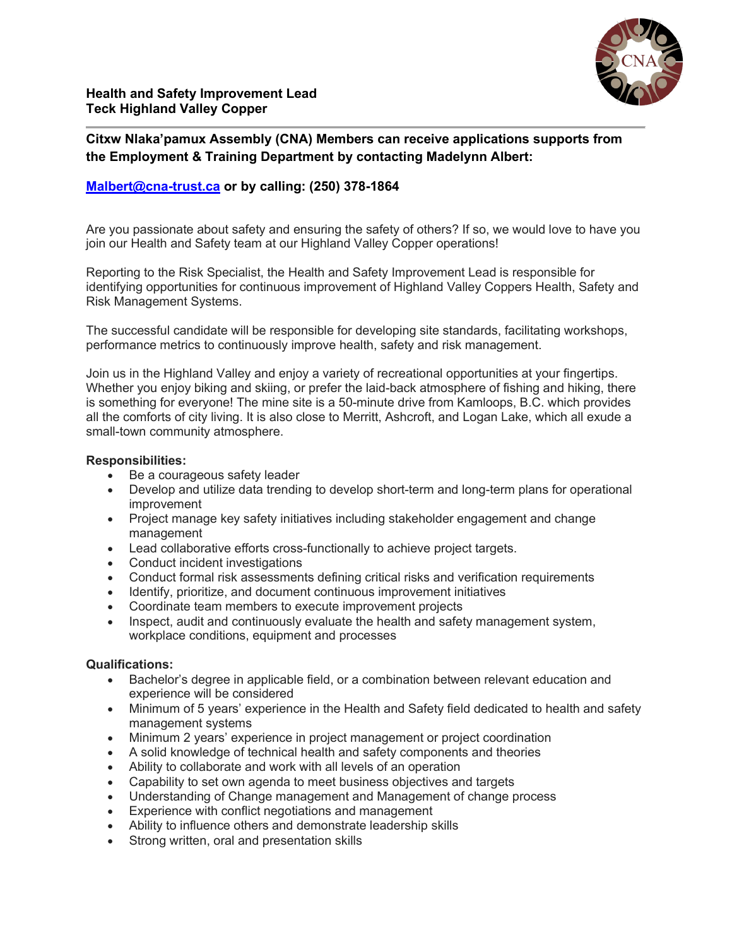

**Citxw Nlaka'pamux Assembly (CNA) Members can receive applications supports from the Employment & Training Department by contacting Madelynn Albert:**

## **[Malbert@cna-trust.ca](mailto:Malbert@cna-trust.ca) or by calling: (250) 378-1864**

Are you passionate about safety and ensuring the safety of others? If so, we would love to have you join our Health and Safety team at our Highland Valley Copper operations!

Reporting to the Risk Specialist, the Health and Safety Improvement Lead is responsible for identifying opportunities for continuous improvement of Highland Valley Coppers Health, Safety and Risk Management Systems.

The successful candidate will be responsible for developing site standards, facilitating workshops, performance metrics to continuously improve health, safety and risk management.

Join us in the Highland Valley and enjoy a variety of recreational opportunities at your fingertips. Whether you enjoy biking and skiing, or prefer the laid-back atmosphere of fishing and hiking, there is something for everyone! The mine site is a 50-minute drive from Kamloops, B.C. which provides all the comforts of city living. It is also close to Merritt, Ashcroft, and Logan Lake, which all exude a small-town community atmosphere.

## **Responsibilities:**

- Be a courageous safety leader
- Develop and utilize data trending to develop short-term and long-term plans for operational improvement
- Project manage key safety initiatives including stakeholder engagement and change management
- Lead collaborative efforts cross-functionally to achieve project targets.
- Conduct incident investigations
- Conduct formal risk assessments defining critical risks and verification requirements
- Identify, prioritize, and document continuous improvement initiatives
- Coordinate team members to execute improvement projects
- Inspect, audit and continuously evaluate the health and safety management system, workplace conditions, equipment and processes

## **Qualifications:**

- Bachelor's degree in applicable field, or a combination between relevant education and experience will be considered
- Minimum of 5 years' experience in the Health and Safety field dedicated to health and safety management systems
- Minimum 2 years' experience in project management or project coordination
- A solid knowledge of technical health and safety components and theories
- Ability to collaborate and work with all levels of an operation
- Capability to set own agenda to meet business objectives and targets
- Understanding of Change management and Management of change process
- Experience with conflict negotiations and management
- Ability to influence others and demonstrate leadership skills
- Strong written, oral and presentation skills